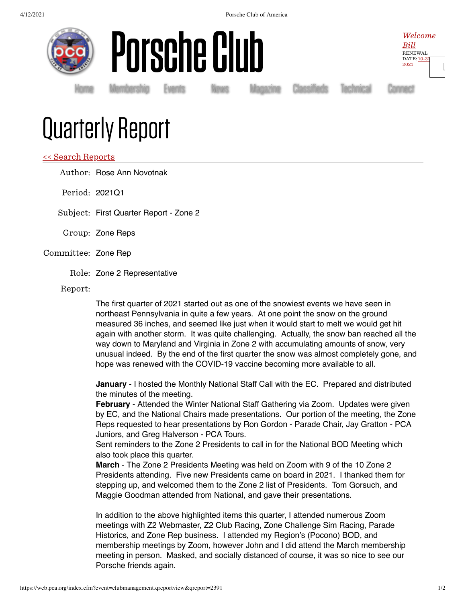4/12/2021 Porsche Club of America





[Home](https://www.pca.org/) [Membership](https://www.pca.org/membership) [Events](https://www.pca.org/events) [News](https://www.pca.org/news) [Magazine](https://www.pca.org/panorama/edition/panorama-june-2015) [Classifieds](https://www.pca.org/browse-the-mart-classified-ads) [Technical](https://www.pca.org/technical-question-search) [Connect](https://www.pca.org/contact)

Welcome [Bill](https://www.pca.org/user) RENEWAL [DATE:](https://www.pca.org/user) 10-31 2021

[L](https://web.pca.org/index.cfm?event=general.logout)

## Quarterly Report

## << Search [Reports](https://web.pca.org/?event=clubmanagement.qreports)

Author: Rose Ann Novotnak

Period: 2021Q1

Subject: First Quarter Report - Zone 2

- Group: Zone Reps
- Committee: Zone Rep
	- Role: Zone 2 Representative

Report:

The first quarter of 2021 started out as one of the snowiest events we have seen in northeast Pennsylvania in quite a few years. At one point the snow on the ground measured 36 inches, and seemed like just when it would start to melt we would get hit again with another storm. It was quite challenging. Actually, the snow ban reached all the way down to Maryland and Virginia in Zone 2 with accumulating amounts of snow, very unusual indeed. By the end of the first quarter the snow was almost completely gone, and hope was renewed with the COVID-19 vaccine becoming more available to all.

**January** - I hosted the Monthly National Staff Call with the EC. Prepared and distributed the minutes of the meeting.

**February** - Attended the Winter National Staff Gathering via Zoom. Updates were given by EC, and the National Chairs made presentations. Our portion of the meeting, the Zone Reps requested to hear presentations by Ron Gordon - Parade Chair, Jay Gratton - PCA Juniors, and Greg Halverson - PCA Tours.

Sent reminders to the Zone 2 Presidents to call in for the National BOD Meeting which also took place this quarter.

**March** - The Zone 2 Presidents Meeting was held on Zoom with 9 of the 10 Zone 2 Presidents attending. Five new Presidents came on board in 2021. I thanked them for stepping up, and welcomed them to the Zone 2 list of Presidents. Tom Gorsuch, and Maggie Goodman attended from National, and gave their presentations.

In addition to the above highlighted items this quarter, I attended numerous Zoom meetings with Z2 Webmaster, Z2 Club Racing, Zone Challenge Sim Racing, Parade Historics, and Zone Rep business. I attended my Region's (Pocono) BOD, and membership meetings by Zoom, however John and I did attend the March membership meeting in person. Masked, and socially distanced of course, it was so nice to see our Porsche friends again.